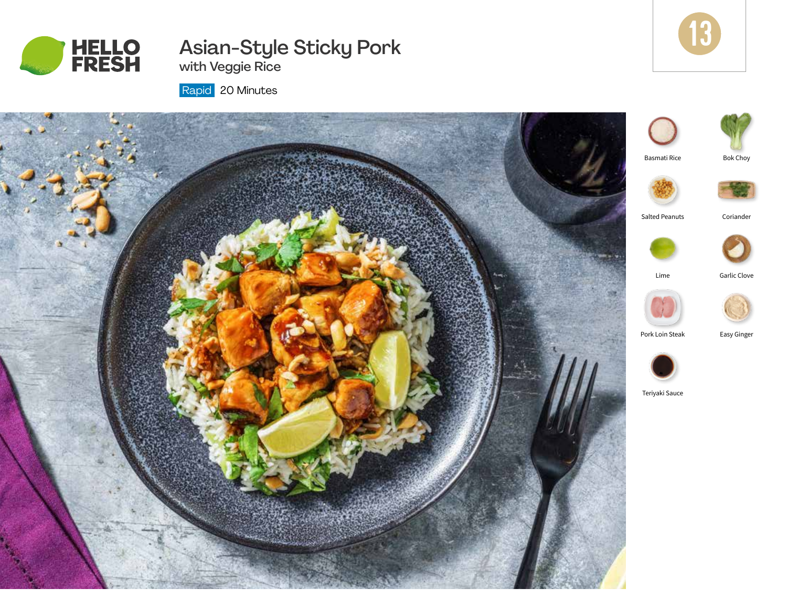

# Asian-Style Sticky Pork



with Veggie Rice

Rapid 20 Minutes